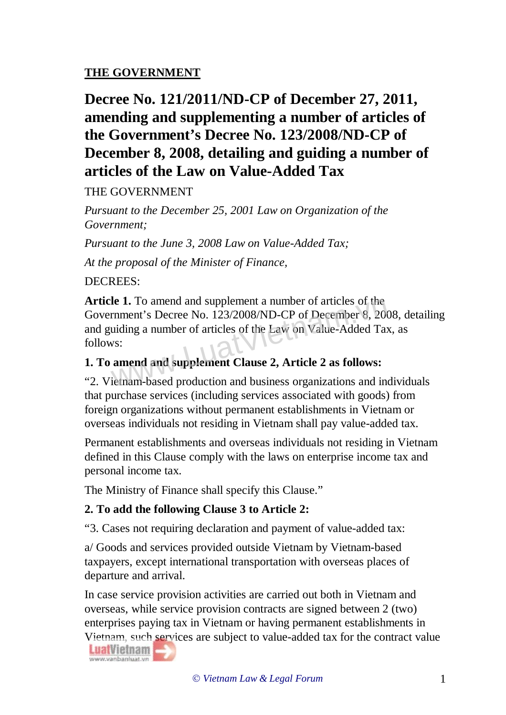## **THE GOVERNMENT**

# **Decree No. 121/2011/ND-CP of December 27, 2011, amending and supplementing a number of articles of the Government's Decree No. 123/2008/ND-CP of December 8, 2008, detailing and guiding a number of articles of the Law on Value-Added Tax**

#### THE GOVERNMENT

*Pursuant to the December 25, 2001 Law on Organization of the Government;*

*Pursuant to the June 3, 2008 Law on Value-Added Tax;*

*At the proposal of the Minister of Finance,*

#### DECREES:

**Article 1.** To amend and supplement a number of articles of the Government's Decree No. 123/2008/ND-CP of December 8, 2008, detailing and guiding a number of articles of the Law on Value-Added Tax, as follows: Ie 1. To amend and supplement a number of articles of the<br>rnment's Decree No. 123/2008/ND-CP of December 8, 200<br>uiding a number of articles of the Law on Value-Added Ta:<br>vs:<br>amend and supplement Clause 2, Article 2 as foll

#### **1. To amend and supplement Clause 2, Article 2 as follows:**

"2. Vietnam-based production and business organizations and individuals that purchase services (including services associated with goods) from foreign organizations without permanent establishments in Vietnam or overseas individuals not residing in Vietnam shall pay value-added tax.

Permanent establishments and overseas individuals not residing in Vietnam defined in this Clause comply with the laws on enterprise income tax and personal income tax.

The Ministry of Finance shall specify this Clause."

#### **2. To add the following Clause 3 to Article 2:**

"3. Cases not requiring declaration and payment of value-added tax:

a/ Goods and services provided outside Vietnam by Vietnam-based taxpayers, except international transportation with overseas places of departure and arrival.

In case service provision activities are carried out both in Vietnam and overseas, while service provision contracts are signed between 2 (two) enterprises paying tax in Vietnam or having permanent establishments in Vietnam, such services are subject to value-added tax for the contract value

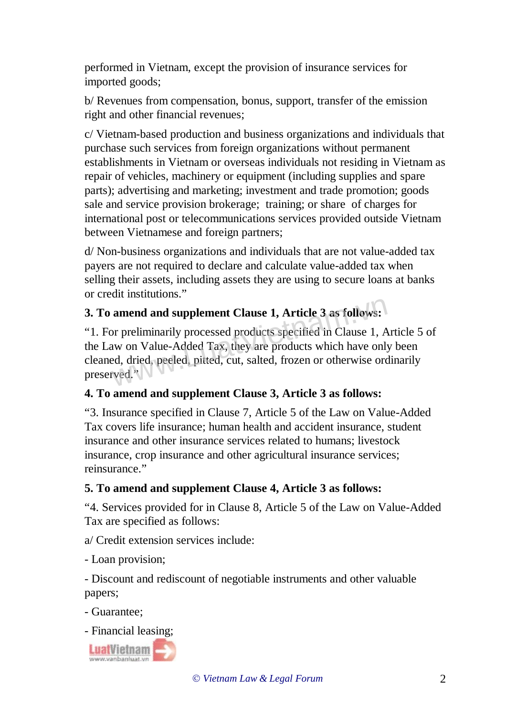performed in Vietnam, except the provision of insurance services for imported goods;

b/ Revenues from compensation, bonus, support, transfer of the emission right and other financial revenues;

c/ Vietnam-based production and business organizations and individuals that purchase such services from foreign organizations without permanent establishments in Vietnam or overseas individuals not residing in Vietnam as repair of vehicles, machinery or equipment (including supplies and spare parts); advertising and marketing; investment and trade promotion; goods sale and service provision brokerage; training; or share of charges for international post or telecommunications services provided outside Vietnam between Vietnamese and foreign partners;

d/ Non-business organizations and individuals that are not value-added tax payers are not required to declare and calculate value-added tax when selling their assets, including assets they are using to secure loans at banks or credit institutions."

# **3. To amend and supplement Clause 1, Article 3 as follows:**

"1. For preliminarily processed products specified in Clause 1, Article 5 of the Law on Value-Added Tax, they are products which have only been cleaned, dried, peeled, pitted, cut, salted, frozen or otherwise ordinarily preserved." amend and supplement Clause 1, Article 3 as follows:<br>or preliminarily processed products specified in Clause 1, A<br>aw on Value-Added Tax, they are products which have only<br>ed, dried, peeled, pitted, cut, salted, frozen or o

#### **4. To amend and supplement Clause 3, Article 3 as follows:**

"3. Insurance specified in Clause 7, Article 5 of the Law on Value-Added Tax covers life insurance; human health and accident insurance, student insurance and other insurance services related to humans; livestock insurance, crop insurance and other agricultural insurance services; reinsurance."

## **5. To amend and supplement Clause 4, Article 3 as follows:**

"4. Services provided for in Clause 8, Article 5 of the Law on Value-Added Tax are specified as follows:

a/ Credit extension services include:

- Loan provision;

- Discount and rediscount of negotiable instruments and other valuable papers;

- Guarantee;
- Financial leasing;

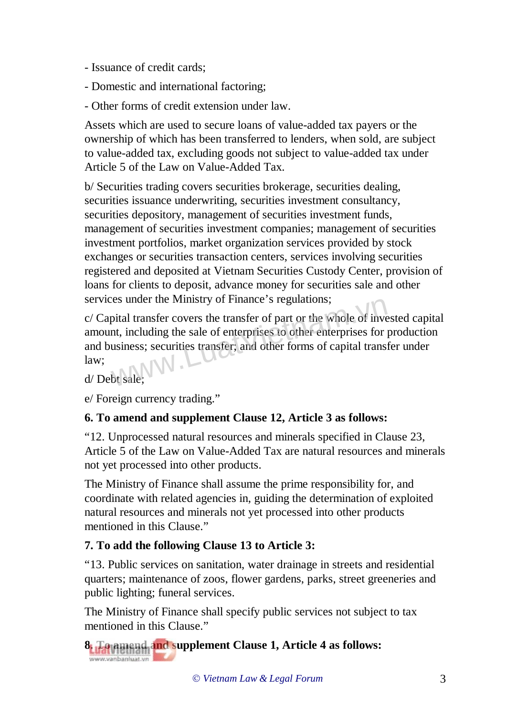- Issuance of credit cards;
- Domestic and international factoring;
- Other forms of credit extension under law.

Assets which are used to secure loans of value-added tax payers or the ownership of which has been transferred to lenders, when sold, are subject to value-added tax, excluding goods not subject to value-added tax under Article 5 of the Law on Value-Added Tax.

b/ Securities trading covers securities brokerage, securities dealing, securities issuance underwriting, securities investment consultancy, securities depository, management of securities investment funds, management of securities investment companies; management of securities investment portfolios, market organization services provided by stock exchanges or securities transaction centers, services involving securities registered and deposited at Vietnam Securities Custody Center, provision of loans for clients to deposit, advance money for securities sale and other services under the Ministry of Finance's regulations;

c/ Capital transfer covers the transfer of part or the whole of invested capital amount, including the sale of enterprises to other enterprises for production and business; securities transfer; and other forms of capital transfer under law; Example 3 regulations;<br>pital transfer covers the transfer of part or the whole of invent, including the sale of enterprises to other enterprises for jusiness; securities transfer; and other forms of capital transi-<br>bt sale

d/ Debt sale;

e/ Foreign currency trading."

## **6. To amend and supplement Clause 12, Article 3 as follows:**

"12. Unprocessed natural resources and minerals specified in Clause 23, Article 5 of the Law on Value-Added Tax are natural resources and minerals not yet processed into other products.

The Ministry of Finance shall assume the prime responsibility for, and coordinate with related agencies in, guiding the determination of exploited natural resources and minerals not yet processed into other products mentioned in this Clause."

## **7. To add the following Clause 13 to Article 3:**

"13. Public services on sanitation, water drainage in streets and residential quarters; maintenance of zoos, flower gardens, parks, street greeneries and public lighting; funeral services.

The Ministry of Finance shall specify public services not subject to tax mentioned in this Clause."

**8. To amend and supplement Clause 1, Article 4 as follows:** www.vanbanluat.vn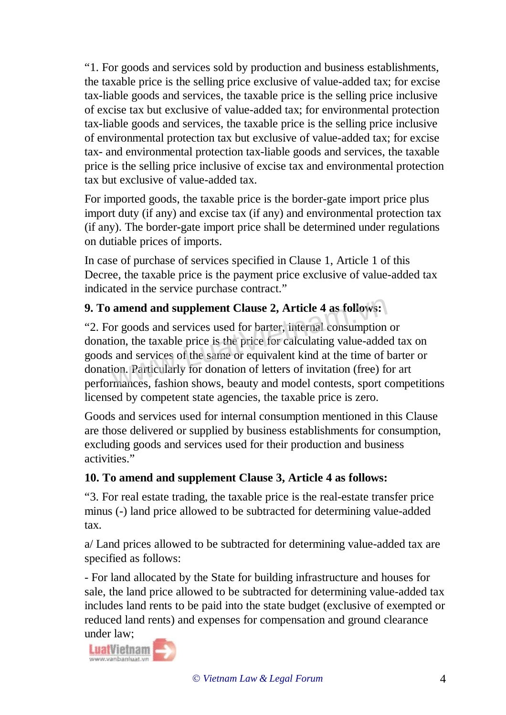"1. For goods and services sold by production and business establishments, the taxable price is the selling price exclusive of value-added tax; for excise tax-liable goods and services, the taxable price is the selling price inclusive of excise tax but exclusive of value-added tax; for environmental protection tax-liable goods and services, the taxable price is the selling price inclusive of environmental protection tax but exclusive of value-added tax; for excise tax- and environmental protection tax-liable goods and services, the taxable price is the selling price inclusive of excise tax and environmental protection tax but exclusive of value-added tax.

For imported goods, the taxable price is the border-gate import price plus import duty (if any) and excise tax (if any) and environmental protection tax (if any). The border-gate import price shall be determined under regulations on dutiable prices of imports.

In case of purchase of services specified in Clause 1, Article 1 of this Decree, the taxable price is the payment price exclusive of value-added tax indicated in the service purchase contract."

## **9. To amend and supplement Clause 2, Article 4 as follows:**

"2. For goods and services used for barter, internal consumption or donation, the taxable price is the price for calculating value-added tax on goods and services of the same or equivalent kind at the time of barter or donation. Particularly for donation of letters of invitation (free) for art performances, fashion shows, beauty and model contests, sport competitions licensed by competent state agencies, the taxable price is zero. amend and supplement Clause 2, Article 4 as follows:<br>or goods and services used for barter, internal consumption<br>ion, the taxable price is the price for calculating value-adde<br>and services of the same or equivalent kind at

Goods and services used for internal consumption mentioned in this Clause are those delivered or supplied by business establishments for consumption, excluding goods and services used for their production and business activities."

## **10. To amend and supplement Clause 3, Article 4 as follows:**

"3. For real estate trading, the taxable price is the real-estate transfer price minus (-) land price allowed to be subtracted for determining value-added tax.

a/ Land prices allowed to be subtracted for determining value-added tax are specified as follows:

- For land allocated by the State for building infrastructure and houses for sale, the land price allowed to be subtracted for determining value-added tax includes land rents to be paid into the state budget (exclusive of exempted or reduced land rents) and expenses for compensation and ground clearance under law;

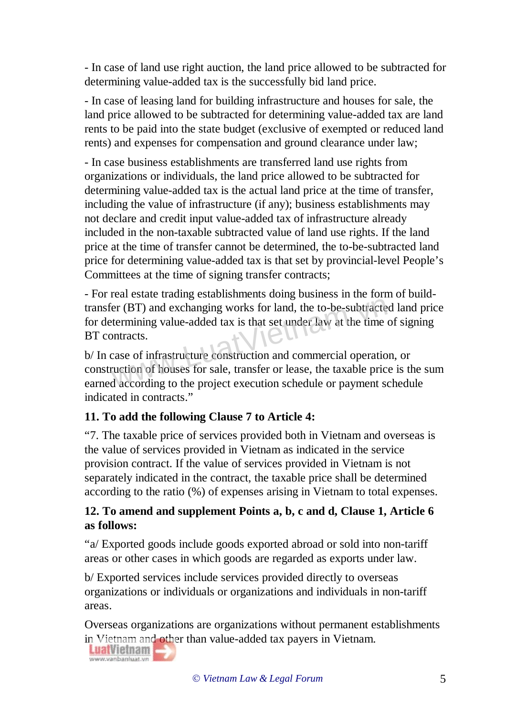- In case of land use right auction, the land price allowed to be subtracted for determining value-added tax is the successfully bid land price.

- In case of leasing land for building infrastructure and houses for sale, the land price allowed to be subtracted for determining value-added tax are land rents to be paid into the state budget (exclusive of exempted or reduced land rents) and expenses for compensation and ground clearance under law;

- In case business establishments are transferred land use rights from organizations or individuals, the land price allowed to be subtracted for determining value-added tax is the actual land price at the time of transfer, including the value of infrastructure (if any); business establishments may not declare and credit input value-added tax of infrastructure already included in the non-taxable subtracted value of land use rights. If the land price at the time of transfer cannot be determined, the to-be-subtracted land price for determining value-added tax is that set by provincial-level People's Committees at the time of signing transfer contracts;

- For real estate trading establishments doing business in the form of buildtransfer (BT) and exchanging works for land, the to-be-subtracted land price for determining value-added tax is that set under law at the time of signing BT contracts. Fright (BT) and exchanging works for land, the to-be-subtracte<br>termining value-added tax is that set under law at the time<br>ontracts.<br>case of infrastructure construction and commercial operation<br>ruction of houses for sale,

b/ In case of infrastructure construction and commercial operation, or construction of houses for sale, transfer or lease, the taxable price is the sum earned according to the project execution schedule or payment schedule indicated in contracts."

#### **11. To add the following Clause 7 to Article 4:**

"7. The taxable price of services provided both in Vietnam and overseas is the value of services provided in Vietnam as indicated in the service provision contract. If the value of services provided in Vietnam is not separately indicated in the contract, the taxable price shall be determined according to the ratio (%) of expenses arising in Vietnam to total expenses.

#### **12. To amend and supplement Points a, b, c and d, Clause 1, Article 6 as follows:**

"a/ Exported goods include goods exported abroad or sold into non-tariff areas or other cases in which goods are regarded as exports under law.

b/ Exported services include services provided directly to overseas organizations or individuals or organizations and individuals in non-tariff areas.

Overseas organizations are organizations without permanent establishments in Vietnam and other than value-added tax payers in Vietnam.

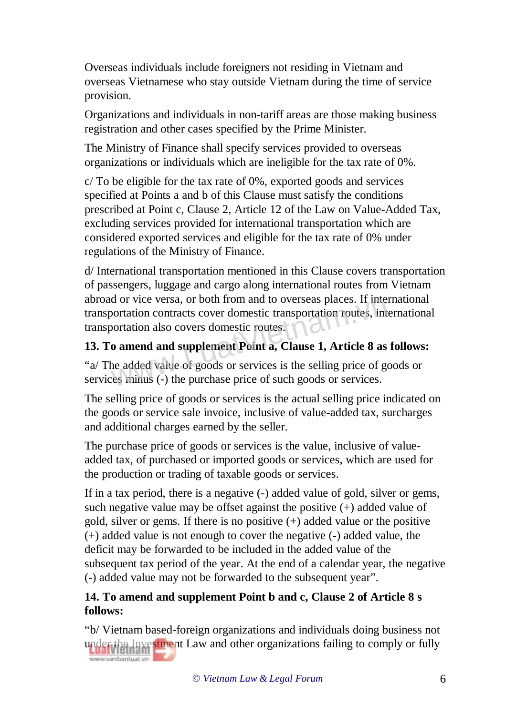Overseas individuals include foreigners not residing in Vietnam and overseas Vietnamese who stay outside Vietnam during the time of service provision.

Organizations and individuals in non-tariff areas are those making business registration and other cases specified by the Prime Minister.

The Ministry of Finance shall specify services provided to overseas organizations or individuals which are ineligible for the tax rate of 0%.

c/ To be eligible for the tax rate of 0%, exported goods and services specified at Points a and b of this Clause must satisfy the conditions prescribed at Point c, Clause 2, Article 12 of the Law on Value-Added Tax, excluding services provided for international transportation which are considered exported services and eligible for the tax rate of 0% under regulations of the Ministry of Finance.

d/ International transportation mentioned in this Clause covers transportation of passengers, luggage and cargo along international routes from Vietnam abroad or vice versa, or both from and to overseas places. If international transportation contracts cover domestic transportation routes, international transportation also covers domestic routes. and or vice versa, or both from and to overseas places. If the<br>portation contracts cover domestic transportation routes, interortation also covers domestic routes.<br>**0** amend and supplement Point a, Clause 1, Article 8 as<br>n

# **13. To amend and supplement Point a, Clause 1, Article 8 as follows:**

"a/ The added value of goods or services is the selling price of goods or services minus (-) the purchase price of such goods or services.

The selling price of goods or services is the actual selling price indicated on the goods or service sale invoice, inclusive of value-added tax, surcharges and additional charges earned by the seller.

The purchase price of goods or services is the value, inclusive of valueadded tax, of purchased or imported goods or services, which are used for the production or trading of taxable goods or services.

If in a tax period, there is a negative (-) added value of gold, silver or gems, such negative value may be offset against the positive  $(+)$  added value of gold, silver or gems. If there is no positive (+) added value or the positive (+) added value is not enough to cover the negative (-) added value, the deficit may be forwarded to be included in the added value of the subsequent tax period of the year. At the end of a calendar year, the negative (-) added value may not be forwarded to the subsequent year".

## **14. To amend and supplement Point b and c, Clause 2 of Article 8 s follows:**

"b/ Vietnam based-foreign organizations and individuals doing business not under the Investment Law and other organizations failing to comply or fully www.vanbanluat.vn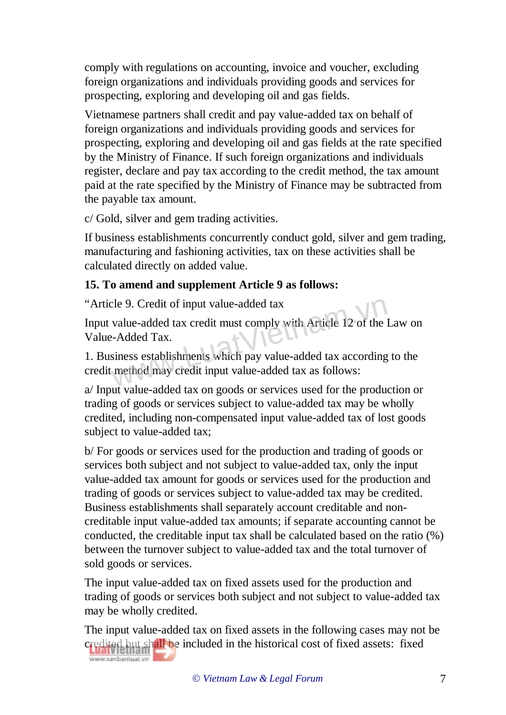comply with regulations on accounting, invoice and voucher, excluding foreign organizations and individuals providing goods and services for prospecting, exploring and developing oil and gas fields.

Vietnamese partners shall credit and pay value-added tax on behalf of foreign organizations and individuals providing goods and services for prospecting, exploring and developing oil and gas fields at the rate specified by the Ministry of Finance. If such foreign organizations and individuals register, declare and pay tax according to the credit method, the tax amount paid at the rate specified by the Ministry of Finance may be subtracted from the payable tax amount.

c/ Gold, silver and gem trading activities.

If business establishments concurrently conduct gold, silver and gem trading, manufacturing and fashioning activities, tax on these activities shall be calculated directly on added value.

## **15. To amend and supplement Article 9 as follows:**

"Article 9. Credit of input value-added tax

Input value-added tax credit must comply with Article 12 of the Law on Value-Added Tax. cle 9. Credit of input value-added tax<br>value-added tax credit must comply with Article 12 of the lack-Added Tax.<br>siness establishments which pay value-added tax according<br>method may credit input value-added tax as follows:

1. Business establishments which pay value-added tax according to the credit method may credit input value-added tax as follows:

a/ Input value-added tax on goods or services used for the production or trading of goods or services subject to value-added tax may be wholly credited, including non-compensated input value-added tax of lost goods subject to value-added tax;

b/ For goods or services used for the production and trading of goods or services both subject and not subject to value-added tax, only the input value-added tax amount for goods or services used for the production and trading of goods or services subject to value-added tax may be credited. Business establishments shall separately account creditable and noncreditable input value-added tax amounts; if separate accounting cannot be conducted, the creditable input tax shall be calculated based on the ratio (%) between the turnover subject to value-added tax and the total turnover of sold goods or services.

The input value-added tax on fixed assets used for the production and trading of goods or services both subject and not subject to value-added tax may be wholly credited.

The input value-added tax on fixed assets in the following cases may not be credited but shall be included in the historical cost of fixed assets: fixed www.vanbanluat.vn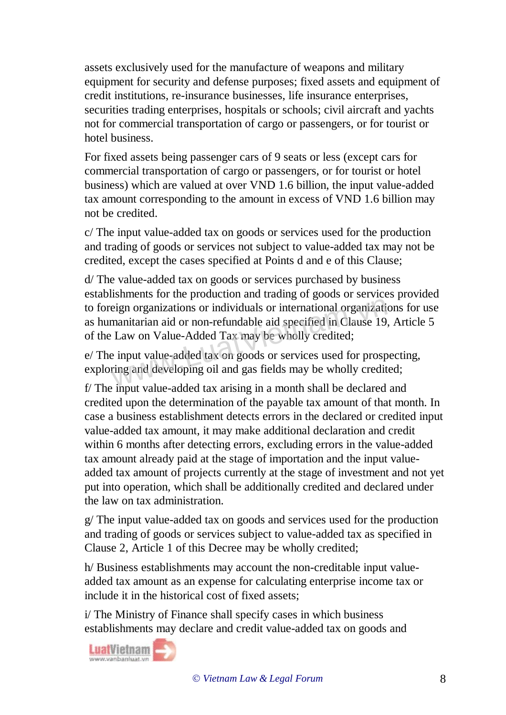assets exclusively used for the manufacture of weapons and military equipment for security and defense purposes; fixed assets and equipment of credit institutions, re-insurance businesses, life insurance enterprises, securities trading enterprises, hospitals or schools; civil aircraft and yachts not for commercial transportation of cargo or passengers, or for tourist or hotel business.

For fixed assets being passenger cars of 9 seats or less (except cars for commercial transportation of cargo or passengers, or for tourist or hotel business) which are valued at over VND 1.6 billion, the input value-added tax amount corresponding to the amount in excess of VND 1.6 billion may not be credited.

c/ The input value-added tax on goods or services used for the production and trading of goods or services not subject to value-added tax may not be credited, except the cases specified at Points d and e of this Clause;

d/ The value-added tax on goods or services purchased by business establishments for the production and trading of goods or services provided to foreign organizations or individuals or international organizations for use as humanitarian aid or non-refundable aid specified in Clause 19, Article 5 of the Law on Value-Added Tax may be wholly credited; eign organizations or individuals or international organization<br>manitarian aid or non-refundable aid specified in Clause 19.<br>Law on Value-Added Tax may be wholly credited;<br>e input value-added tax on goods or services used

e/ The input value-added tax on goods or services used for prospecting, exploring and developing oil and gas fields may be wholly credited;

f/ The input value-added tax arising in a month shall be declared and credited upon the determination of the payable tax amount of that month. In case a business establishment detects errors in the declared or credited input value-added tax amount, it may make additional declaration and credit within 6 months after detecting errors, excluding errors in the value-added tax amount already paid at the stage of importation and the input valueadded tax amount of projects currently at the stage of investment and not yet put into operation, which shall be additionally credited and declared under the law on tax administration.

g/ The input value-added tax on goods and services used for the production and trading of goods or services subject to value-added tax as specified in Clause 2, Article 1 of this Decree may be wholly credited;

h/ Business establishments may account the non-creditable input valueadded tax amount as an expense for calculating enterprise income tax or include it in the historical cost of fixed assets;

i/ The Ministry of Finance shall specify cases in which business establishments may declare and credit value-added tax on goods and

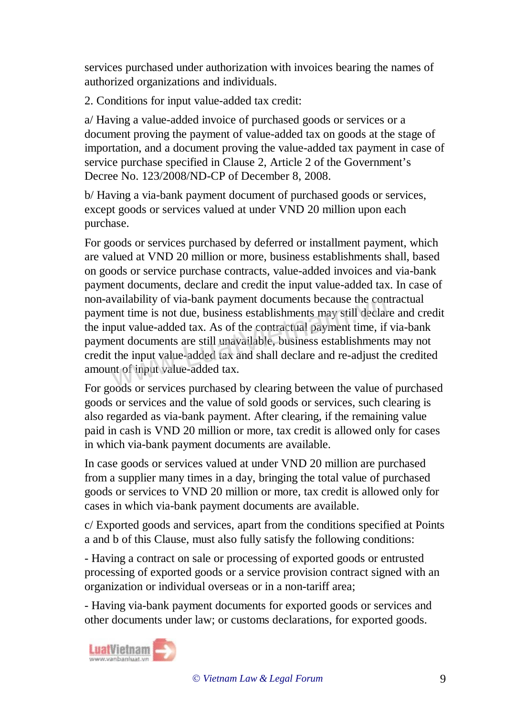services purchased under authorization with invoices bearing the names of authorized organizations and individuals.

2. Conditions for input value-added tax credit:

a/ Having a value-added invoice of purchased goods or services or a document proving the payment of value-added tax on goods at the stage of importation, and a document proving the value-added tax payment in case of service purchase specified in Clause 2, Article 2 of the Government's Decree No. 123/2008/ND-CP of December 8, 2008.

b/ Having a via-bank payment document of purchased goods or services, except goods or services valued at under VND 20 million upon each purchase.

For goods or services purchased by deferred or installment payment, which are valued at VND 20 million or more, business establishments shall, based on goods or service purchase contracts, value-added invoices and via-bank payment documents, declare and credit the input value-added tax. In case of non-availability of via-bank payment documents because the contractual payment time is not due, business establishments may still declare and credit the input value-added tax. As of the contractual payment time, if via-bank payment documents are still unavailable, business establishments may not credit the input value-added tax and shall declare and re-adjust the credited amount of input value-added tax. vanaomly of via-bank payment documents because the con-<br>ent time is not due, business establishments may still declar-<br>put value-added tax. As of the contractual payment time, if-<br>ent documents are still unavailable, busin

For goods or services purchased by clearing between the value of purchased goods or services and the value of sold goods or services, such clearing is also regarded as via-bank payment. After clearing, if the remaining value paid in cash is VND 20 million or more, tax credit is allowed only for cases in which via-bank payment documents are available.

In case goods or services valued at under VND 20 million are purchased from a supplier many times in a day, bringing the total value of purchased goods or services to VND 20 million or more, tax credit is allowed only for cases in which via-bank payment documents are available.

c/ Exported goods and services, apart from the conditions specified at Points a and b of this Clause, must also fully satisfy the following conditions:

- Having a contract on sale or processing of exported goods or entrusted processing of exported goods or a service provision contract signed with an organization or individual overseas or in a non-tariff area;

- Having via-bank payment documents for exported goods or services and other documents under law; or customs declarations, for exported goods.